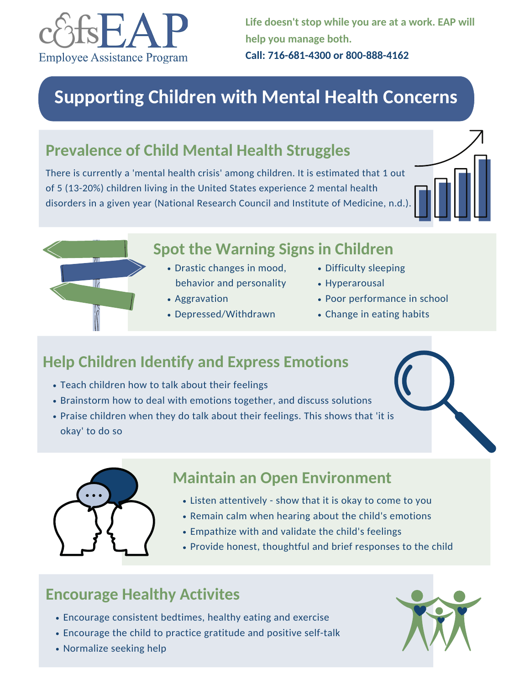# **Help Children Identify and Express Emotions**



- Encourage consistent bedtimes, healthy eating and exercise
- Encourage the child to practice gratitude and positive self-talk
- Normalize seeking help



- Teach children how to talk about their feelings
- Brainstorm how to deal with emotions together, and discuss solutions
- Praise children when they do talk about their feelings. This shows that 'it is okay' to do so



# **Encourage Healthy Activites**

# **Maintain an Open Environment**

- Listen attentively show that it is okay to come to you
- Remain calm when hearing about the child's emotions
- Empathize with and validate the child's feelings
- Provide honest, thoughtful and brief responses to the child

# **Prevalence of Child Mental Health Struggles**

There is currently a 'mental health crisis' among children. It is estimated that 1 out of 5 (13-20%) children living in the United States experience 2 mental health disorders in a given year (National Research Council and Institute of Medicine, n.d.).





# **Spot the Warning Signs in Children**

- Drastic changes in mood, behavior and personality
- Aggravation
- Depressed/Withdrawn
- Difficulty sleeping
- Hyperarousal
- Poor performance in school
- Change in eating habits

# **Supporting Children with Mental Health Concerns**



**Life doesn't stop while you are at a work. EAP will help you manage both. Call: 716-681-4300 or 800-888-4162**